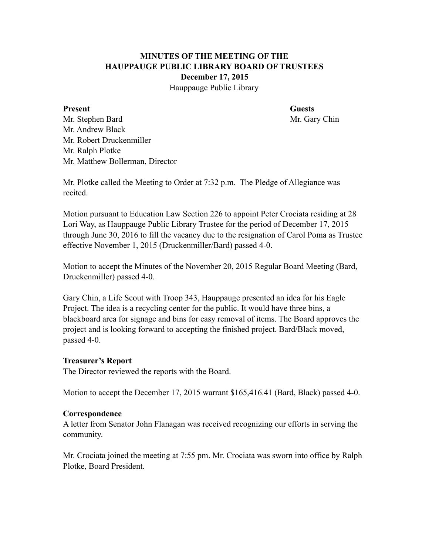# **MINUTES OF THE MEETING OF THE HAUPPAUGE PUBLIC LIBRARY BOARD OF TRUSTEES December 17, 2015**

Hauppauge Public Library

#### **Present** Guests

Mr. Stephen Bard Mr. Gary Chin Mr. Andrew Black Mr. Robert Druckenmiller Mr. Ralph Plotke Mr. Matthew Bollerman, Director

Mr. Plotke called the Meeting to Order at 7:32 p.m. The Pledge of Allegiance was recited.

Motion pursuant to Education Law Section 226 to appoint Peter Crociata residing at 28 Lori Way, as Hauppauge Public Library Trustee for the period of December 17, 2015 through June 30, 2016 to fill the vacancy due to the resignation of Carol Poma as Trustee effective November 1, 2015 (Druckenmiller/Bard) passed 4-0.

Motion to accept the Minutes of the November 20, 2015 Regular Board Meeting (Bard, Druckenmiller) passed 4-0.

Gary Chin, a Life Scout with Troop 343, Hauppauge presented an idea for his Eagle Project. The idea is a recycling center for the public. It would have three bins, a blackboard area for signage and bins for easy removal of items. The Board approves the project and is looking forward to accepting the finished project. Bard/Black moved, passed 4-0.

#### **Treasurer's Report**

The Director reviewed the reports with the Board.

Motion to accept the December 17, 2015 warrant \$165,416.41 (Bard, Black) passed 4-0.

#### **Correspondence**

A letter from Senator John Flanagan was received recognizing our efforts in serving the community.

Mr. Crociata joined the meeting at 7:55 pm. Mr. Crociata was sworn into office by Ralph Plotke, Board President.